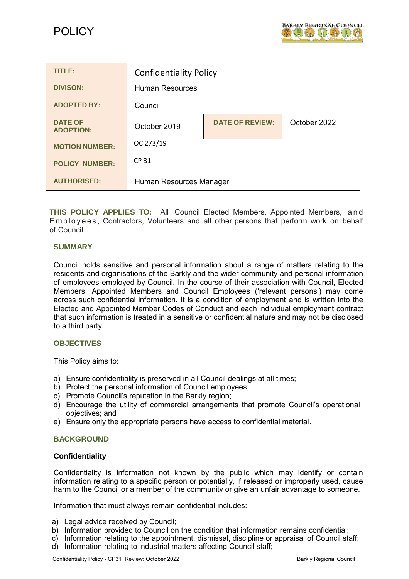

| <b>TITLE:</b>                      | <b>Confidentiality Policy</b> |                        |              |
|------------------------------------|-------------------------------|------------------------|--------------|
| <b>DIVISON:</b>                    | <b>Human Resources</b>        |                        |              |
| <b>ADOPTED BY:</b>                 | Council                       |                        |              |
| <b>DATE OF</b><br><b>ADOPTION:</b> | October 2019                  | <b>DATE OF REVIEW:</b> | October 2022 |
| <b>MOTION NUMBER:</b>              | OC 273/19                     |                        |              |
| <b>POLICY NUMBER:</b>              | <b>CP 31</b>                  |                        |              |
| <b>AUTHORISED:</b>                 | Human Resources Manager       |                        |              |

**THIS POLICY APPLIES TO:** All Council Elected Members, Appointed Members, a n d Employees, Contractors, Volunteers and all other persons that perform work on behalf of Council.

## **SUMMARY**

Council holds sensitive and personal information about a range of matters relating to the residents and organisations of the Barkly and the wider community and personal information of employees employed by Council. In the course of their association with Council, Elected Members, Appointed Members and Council Employees ('relevant persons') may come across such confidential information. It is a condition of employment and is written into the Elected and Appointed Member Codes of Conduct and each individual employment contract that such information is treated in a sensitive or confidential nature and may not be disclosed to a third party.

## **OBJECTIVES**

This Policy aims to:

- a) Ensure confidentiality is preserved in all Council dealings at all times;
- b) Protect the personal information of Council employees;
- c) Promote Council's reputation in the Barkly region;
- d) Encourage the utility of commercial arrangements that promote Council's operational objectives; and
- e) Ensure only the appropriate persons have access to confidential material.

## **BACKGROUND**

## **Confidentiality**

Confidentiality is information not known by the public which may identify or contain information relating to a specific person or potentially, if released or improperly used, cause harm to the Council or a member of the community or give an unfair advantage to someone.

Information that must always remain confidential includes:

- a) Legal advice received by Council;
- b) Information provided to Council on the condition that information remains confidential;
- c) Information relating to the appointment, dismissal, discipline or appraisal of Council staff;
- d) Information relating to industrial matters affecting Council staff;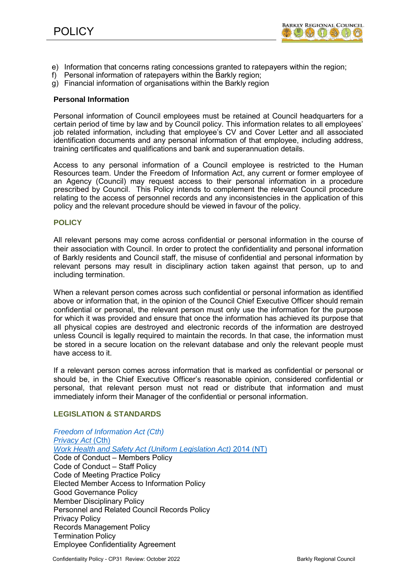

- e) Information that concerns rating concessions granted to ratepayers within the region;
- f) Personal information of ratepayers within the Barkly region;
- g) Financial information of organisations within the Barkly region

#### **Personal Information**

Personal information of Council employees must be retained at Council headquarters for a certain period of time by law and by Council policy. This information relates to all employees' job related information, including that employee's CV and Cover Letter and all associated identification documents and any personal information of that employee, including address, training certificates and qualifications and bank and superannuation details.

Access to any personal information of a Council employee is restricted to the Human Resources team. Under the Freedom of Information Act, any current or former employee of an Agency (Council) may request access to their personal information in a procedure prescribed by Council. This Policy intends to complement the relevant Council procedure relating to the access of personnel records and any inconsistencies in the application of this policy and the relevant procedure should be viewed in favour of the policy.

## **POLICY**

All relevant persons may come across confidential or personal information in the course of their association with Council. In order to protect the confidentiality and personal information of Barkly residents and Council staff, the misuse of confidential and personal information by relevant persons may result in disciplinary action taken against that person, up to and including termination.

When a relevant person comes across such confidential or personal information as identified above or information that, in the opinion of the Council Chief Executive Officer should remain confidential or personal, the relevant person must only use the information for the purpose for which it was provided and ensure that once the information has achieved its purpose that all physical copies are destroyed and electronic records of the information are destroyed unless Council is legally required to maintain the records. In that case, the information must be stored in a secure location on the relevant database and only the relevant people must have access to it.

If a relevant person comes across information that is marked as confidential or personal or should be, in the Chief Executive Officer's reasonable opinion, considered confidential or personal, that relevant person must not read or distribute that information and must immediately inform their Manager of the confidential or personal information.

## **LEGISLATION & STANDARDS**

*Freedom of [Information](http://www.austlii.edu.au/cgi-bin/viewdb/au/legis/cth/consol_act/foia1982222/) Act (Cth)*  **[Privacy Act](http://www.austlii.edu.au/cgi-bin/viewdb/au/legis/cth/consol_act/pa1988108/) (Cth)** *Work [Health and](http://www.austlii.edu.au/cgi-bin/viewdb/au/legis/nt/consol_act/whasula2011497/) Safety Act (Uniform Legislation Act)* 2014 (NT) Code of Conduct – Members Policy Code of Conduct – Staff Policy Code of Meeting Practice Policy Elected Member Access to Information Policy Good Governance Policy Member Disciplinary Policy Personnel and Related Council Records Policy Privacy Policy Records Management Policy Termination Policy Employee Confidentiality Agreement